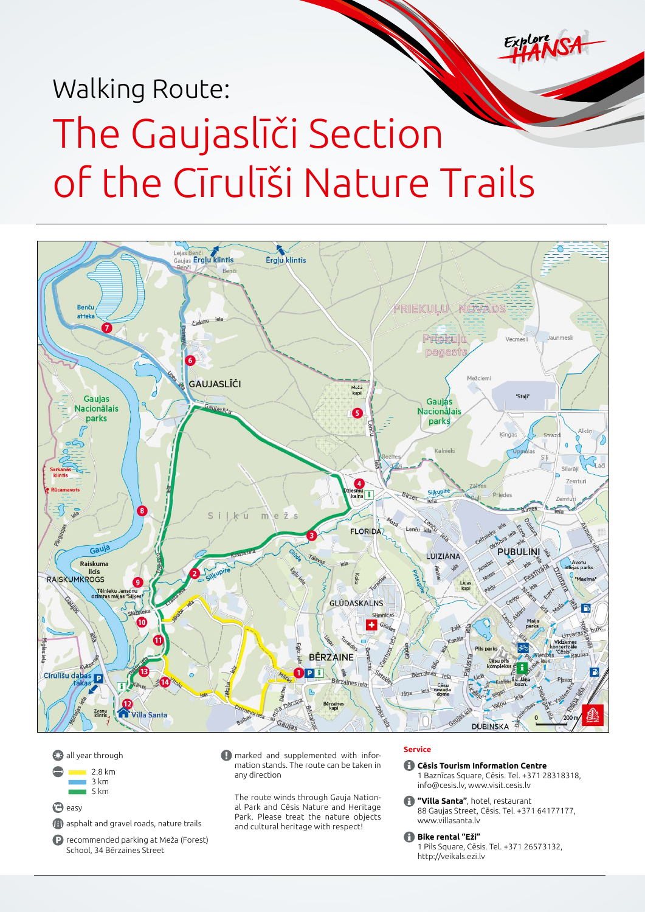# Walking Route: The Gaujaslīči Section of the Cīrulīši Nature Trails



**all year through**  $2.8 \text{ km}$  $3 km$  $\overline{5}$  km **P**easy asphalt and gravel roads, nature trails

recommended parking at Meža (Forest) School, 34 Bērzaines Street

**A** marked and supplemented with information stands. The route can be taken in any direction

The route winds through Gauja National Park and Cēsis Nature and Heritage Park. Please treat the nature objects and cultural heritage with respect!

# **Service**

**Cēsis Tourism Information Centre** 1 Baznīcas Square, Cēsis. Tel. +371 28318318, [info@cesis.lv,](mailto:info@cesis.lv) www.visit.cesis.lv

**"Villa Santa"**, hotel, restaurant 88 Gaujas Street, Cēsis. Tel. +371 64177177, [www.villasanta.lv](http://www.villasanta.lv)

**Bike rental "Eži"** 1 Pils Square, Cēsis. Tel. +371 26573132, <http://veikals.ezi.lv>